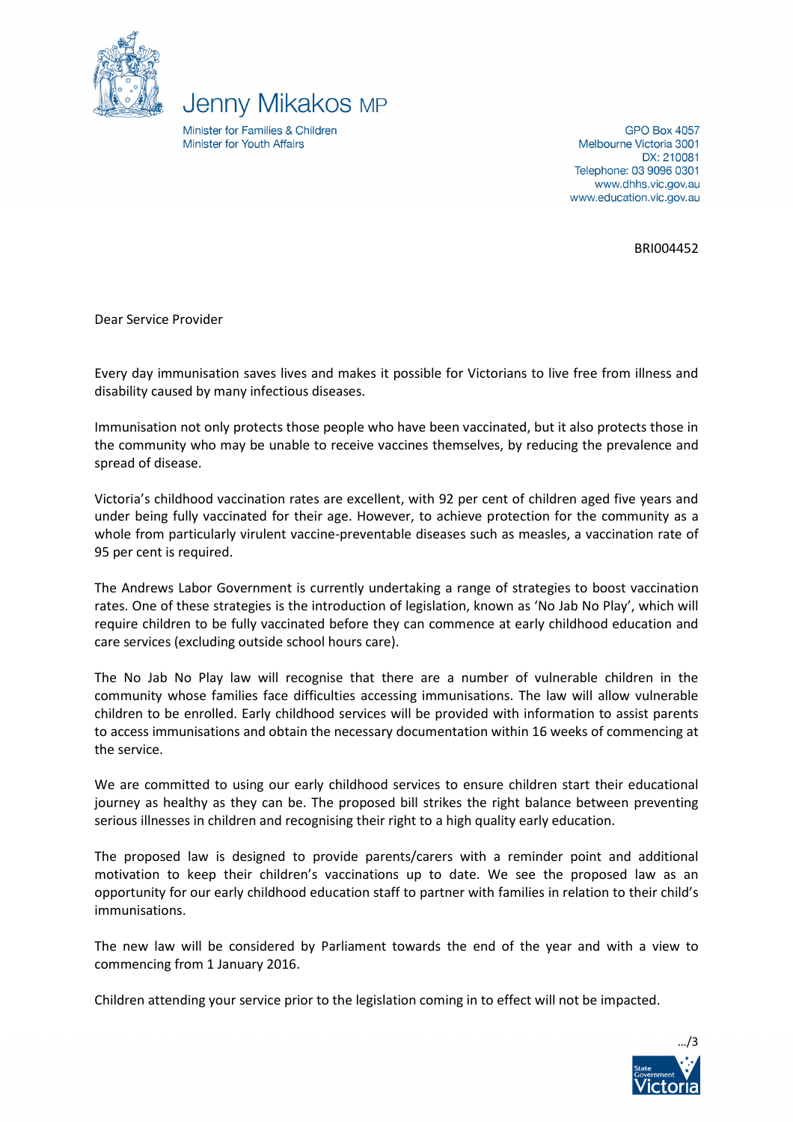



Minister for Families & Children Minister for Youth Affairs

**GPO Box 4057** Melbourne Victoria 3001 DX: 210081 Telephone: 03 9096 0301 www.dhhs.vic.gov.au www.education.vic.gov.au

BRI004452

Dear Service Provider

Every day immunisation saves lives and makes it possible for Victorians to live free from illness and disability caused by many infectious diseases.

Immunisation not only protects those people who have been vaccinated, but it also protects those in the community who may be unable to receive vaccines themselves, by reducing the prevalence and spread of disease.

Victoria's childhood vaccination rates are excellent, with 92 per cent of children aged five years and under being fully vaccinated for their age. However, to achieve protection for the community as a whole from particularly virulent vaccine-preventable diseases such as measles, a vaccination rate of 95 per cent is required.

The Andrews Labor Government is currently undertaking a range of strategies to boost vaccination rates. One of these strategies is the introduction of legislation, known as 'No Jab No Play', which will require children to be fully vaccinated before they can commence at early childhood education and care services (excluding outside school hours care).

The No Jab No Play law will recognise that there are a number of vulnerable children in the community whose families face difficulties accessing immunisations. The law will allow vulnerable children to be enrolled. Early childhood services will be provided with information to assist parents to access immunisations and obtain the necessary documentation within 16 weeks of commencing at the service.

We are committed to using our early childhood services to ensure children start their educational journey as healthy as they can be. The proposed bill strikes the right balance between preventing serious illnesses in children and recognising their right to a high quality early education.

The proposed law is designed to provide parents/carers with a reminder point and additional motivation to keep their children's vaccinations up to date. We see the proposed law as an opportunity for our early childhood education staff to partner with families in relation to their child's immunisations.

The new law will be considered by Parliament towards the end of the year and with a view to commencing from 1 January 2016.

Children attending your service prior to the legislation coming in to effect will not be impacted.

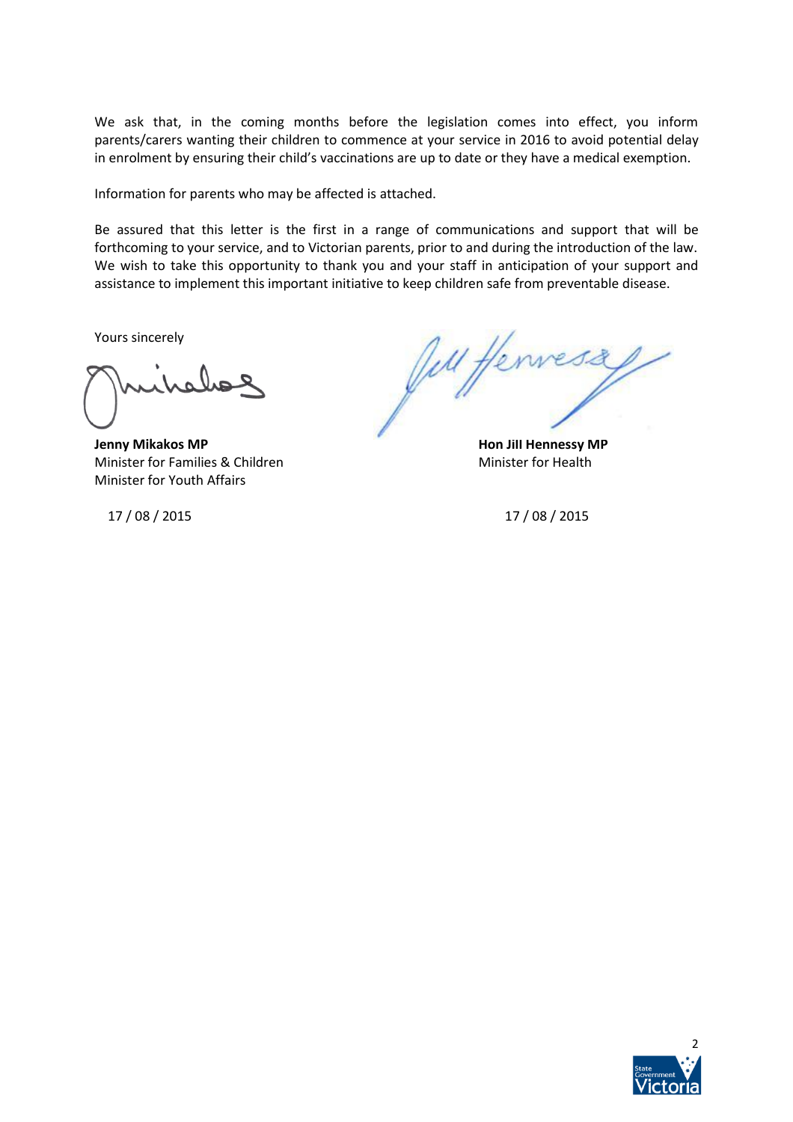We ask that, in the coming months before the legislation comes into effect, you inform parents/carers wanting their children to commence at your service in 2016 to avoid potential delay in enrolment by ensuring their child's vaccinations are up to date or they have a medical exemption.

Information for parents who may be affected is attached.

Be assured that this letter is the first in a range of communications and support that will be forthcoming to your service, and to Victorian parents, prior to and during the introduction of the law. We wish to take this opportunity to thank you and your staff in anticipation of your support and assistance to implement this important initiative to keep children safe from preventable disease.

Yours sincerely

**Jenny Mikakos MP Hon Jill Hennessy MP** Minister for Families & Children Minister for Health Minister for Youth Affairs

17 / 08 / 2015 17 / 08 / 2015

Jell Henness